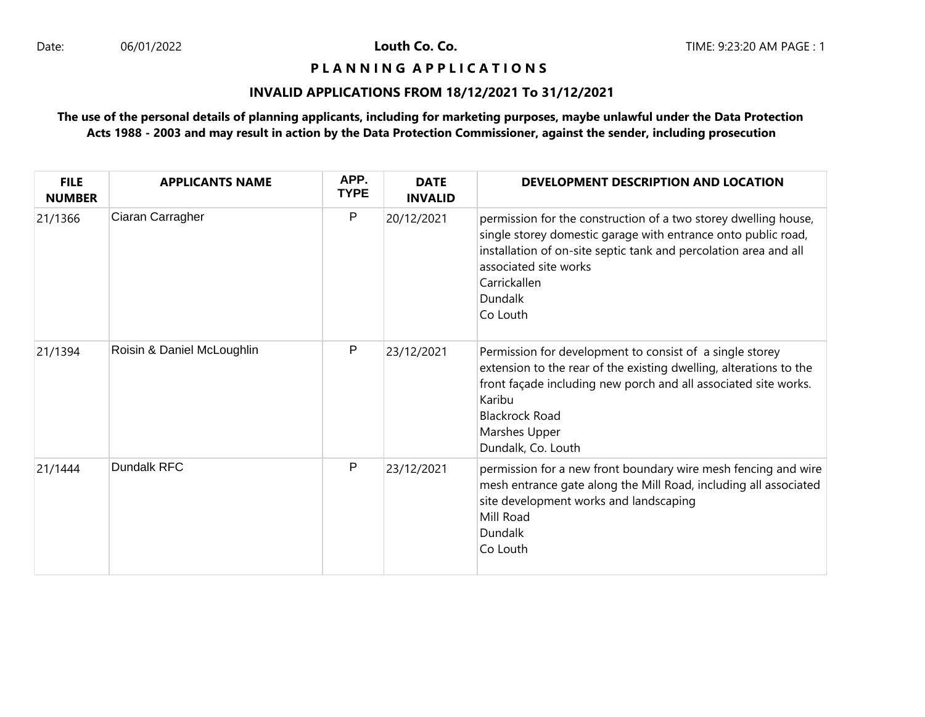Louth Co. Co.

#### **P L A N N I N G A P P L I C A T I O N S**

# **INVALID APPLICATIONS FROM 18/12/2021 To 31/12/2021**

# **The use of the personal details of planning applicants, including for marketing purposes, maybe unlawful under the Data Protection Acts 1988 - 2003 and may result in action by the Data Protection Commissioner, against the sender, including prosecution**

| <b>FILE</b><br><b>NUMBER</b> | <b>APPLICANTS NAME</b>     | APP.<br><b>TYPE</b> | <b>DATE</b><br><b>INVALID</b> | DEVELOPMENT DESCRIPTION AND LOCATION                                                                                                                                                                                                                                        |
|------------------------------|----------------------------|---------------------|-------------------------------|-----------------------------------------------------------------------------------------------------------------------------------------------------------------------------------------------------------------------------------------------------------------------------|
| 21/1366                      | Ciaran Carragher           | P                   | 20/12/2021                    | permission for the construction of a two storey dwelling house,<br>single storey domestic garage with entrance onto public road,<br>installation of on-site septic tank and percolation area and all<br>associated site works<br>Carrickallen<br><b>Dundalk</b><br>Co Louth |
| 21/1394                      | Roisin & Daniel McLoughlin | P                   | 23/12/2021                    | Permission for development to consist of a single storey<br>extension to the rear of the existing dwelling, alterations to the<br>front façade including new porch and all associated site works.<br>Karibu<br><b>Blackrock Road</b><br>Marshes Upper<br>Dundalk, Co. Louth |
| 21/1444                      | Dundalk RFC                | P                   | 23/12/2021                    | permission for a new front boundary wire mesh fencing and wire<br>mesh entrance gate along the Mill Road, including all associated<br>site development works and landscaping<br>Mill Road<br><b>Dundalk</b><br>Co Louth                                                     |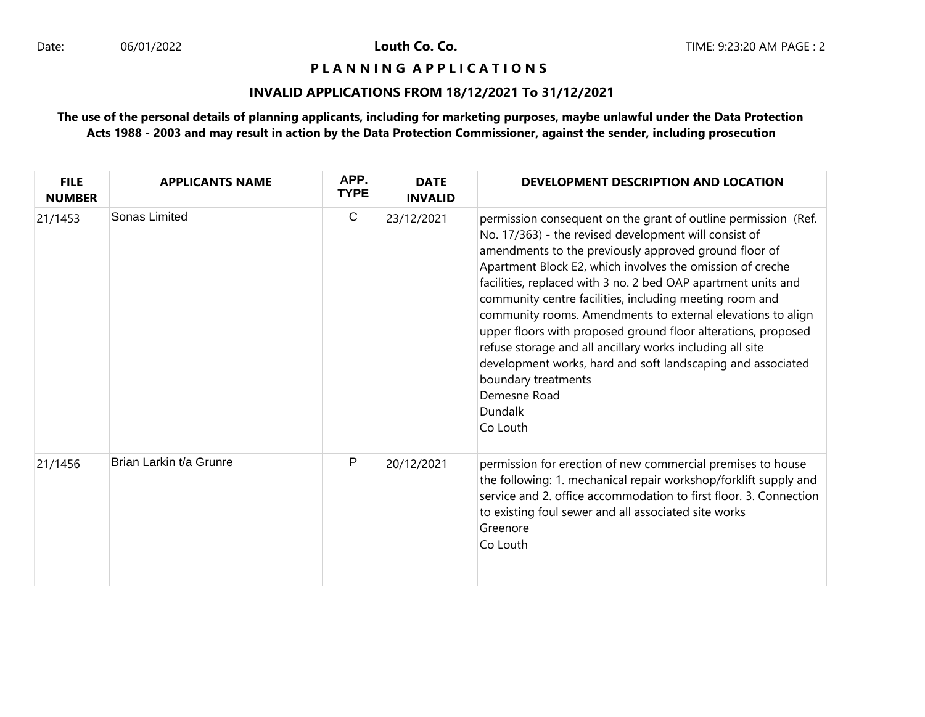Louth Co. Co.

#### **P L A N N I N G A P P L I C A T I O N S**

# **INVALID APPLICATIONS FROM 18/12/2021 To 31/12/2021**

# **The use of the personal details of planning applicants, including for marketing purposes, maybe unlawful under the Data Protection Acts 1988 - 2003 and may result in action by the Data Protection Commissioner, against the sender, including prosecution**

| <b>FILE</b><br><b>NUMBER</b> | <b>APPLICANTS NAME</b>  | APP.<br><b>TYPE</b> | <b>DATE</b><br><b>INVALID</b> | DEVELOPMENT DESCRIPTION AND LOCATION                                                                                                                                                                                                                                                                                                                                                                                                                                                                                                                                                                                                                                                                |
|------------------------------|-------------------------|---------------------|-------------------------------|-----------------------------------------------------------------------------------------------------------------------------------------------------------------------------------------------------------------------------------------------------------------------------------------------------------------------------------------------------------------------------------------------------------------------------------------------------------------------------------------------------------------------------------------------------------------------------------------------------------------------------------------------------------------------------------------------------|
| 21/1453                      | Sonas Limited           | $\mathsf{C}$        | 23/12/2021                    | permission consequent on the grant of outline permission (Ref.<br>No. 17/363) - the revised development will consist of<br>amendments to the previously approved ground floor of<br>Apartment Block E2, which involves the omission of creche<br>facilities, replaced with 3 no. 2 bed OAP apartment units and<br>community centre facilities, including meeting room and<br>community rooms. Amendments to external elevations to align<br>upper floors with proposed ground floor alterations, proposed<br>refuse storage and all ancillary works including all site<br>development works, hard and soft landscaping and associated<br>boundary treatments<br>Demesne Road<br>Dundalk<br>Co Louth |
| 21/1456                      | Brian Larkin t/a Grunre | P                   | 20/12/2021                    | permission for erection of new commercial premises to house<br>the following: 1. mechanical repair workshop/forklift supply and<br>service and 2. office accommodation to first floor. 3. Connection<br>to existing foul sewer and all associated site works<br>Greenore<br>Co Louth                                                                                                                                                                                                                                                                                                                                                                                                                |